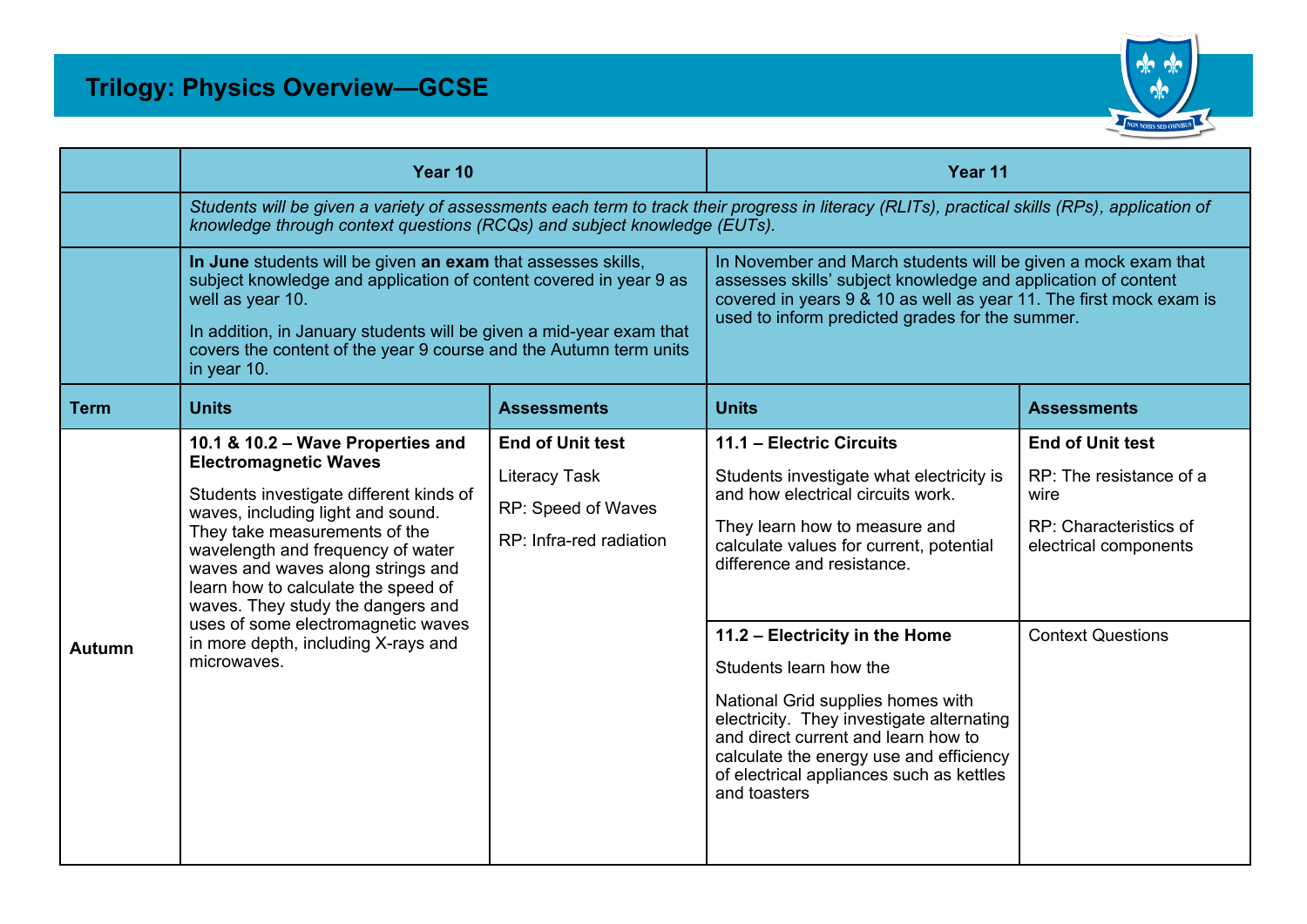

|             | Year 10                                                                                                                                                                                                                                                                                                                                                                                                                              |                                                                                                  | Year 11                                                                                                                                                                                                                                                 |                                                                                                                                           |  |  |
|-------------|--------------------------------------------------------------------------------------------------------------------------------------------------------------------------------------------------------------------------------------------------------------------------------------------------------------------------------------------------------------------------------------------------------------------------------------|--------------------------------------------------------------------------------------------------|---------------------------------------------------------------------------------------------------------------------------------------------------------------------------------------------------------------------------------------------------------|-------------------------------------------------------------------------------------------------------------------------------------------|--|--|
|             | Students will be given a variety of assessments each term to track their progress in literacy (RLITs), practical skills (RPs), application of<br>knowledge through context questions (RCQs) and subject knowledge (EUTs).                                                                                                                                                                                                            |                                                                                                  |                                                                                                                                                                                                                                                         |                                                                                                                                           |  |  |
|             | In June students will be given an exam that assesses skills,<br>subject knowledge and application of content covered in year 9 as<br>well as year 10.<br>In addition, in January students will be given a mid-year exam that<br>covers the content of the year 9 course and the Autumn term units<br>in year 10.                                                                                                                     |                                                                                                  | In November and March students will be given a mock exam that<br>assesses skills' subject knowledge and application of content<br>covered in years 9 & 10 as well as year 11. The first mock exam is<br>used to inform predicted grades for the summer. |                                                                                                                                           |  |  |
| <b>Term</b> | <b>Units</b>                                                                                                                                                                                                                                                                                                                                                                                                                         | <b>Assessments</b>                                                                               | <b>Units</b>                                                                                                                                                                                                                                            | <b>Assessments</b>                                                                                                                        |  |  |
| Autumn      | 10.1 & 10.2 - Wave Properties and<br><b>Electromagnetic Waves</b><br>Students investigate different kinds of<br>waves, including light and sound.<br>They take measurements of the<br>wavelength and frequency of water<br>waves and waves along strings and<br>learn how to calculate the speed of<br>waves. They study the dangers and<br>uses of some electromagnetic waves<br>in more depth, including X-rays and<br>microwaves. | <b>End of Unit test</b><br><b>Literacy Task</b><br>RP: Speed of Waves<br>RP: Infra-red radiation | 11.1 - Electric Circuits<br>Students investigate what electricity is<br>and how electrical circuits work.<br>They learn how to measure and<br>calculate values for current, potential<br>difference and resistance.<br>11.2 - Electricity in the Home   | <b>End of Unit test</b><br>RP: The resistance of a<br>wire<br>RP: Characteristics of<br>electrical components<br><b>Context Questions</b> |  |  |
|             |                                                                                                                                                                                                                                                                                                                                                                                                                                      |                                                                                                  | Students learn how the<br>National Grid supplies homes with<br>electricity. They investigate alternating<br>and direct current and learn how to<br>calculate the energy use and efficiency<br>of electrical appliances such as kettles<br>and toasters  |                                                                                                                                           |  |  |